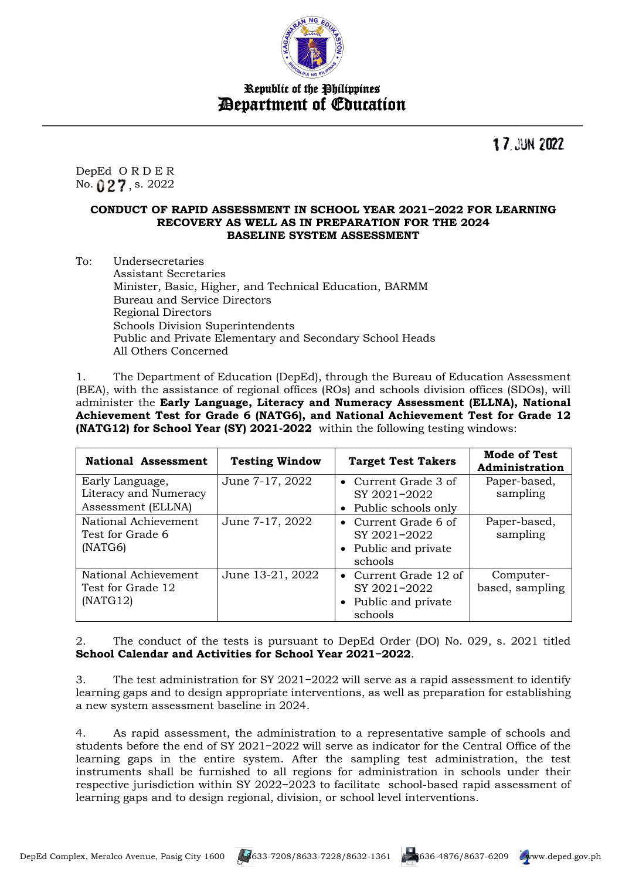

Republic of the Philippines Department of Education

**17 JUN 2022** 

DepEd O R D E R No. **() 2 7** , s. 2022

#### **CONDUCT OF RAPID ASSESSMENT IN SCHOOL YEAR 2021−2022 FOR LEARNING RECOVERY AS WELL AS IN PREPARATION FOR THE 2024 BASELINE SYSTEM ASSESSMENT**

To: Undersecretaries Assistant Secretaries Minister, Basic, Higher, and Technical Education, BARMM Bureau and Service Directors Regional Directors Schools Division Superintendents Public and Private Elementary and Secondary School Heads All Others Concerned

1. The Department of Education (DepEd), through the Bureau of Education Assessment (BEA), with the assistance of regional offices (ROs) and schools division offices (SDOs), will administer the **Early Language, Literacy and Numeracy Assessment (ELLNA), National Achievement Test for Grade 6 (NATG6), and National Achievement Test for Grade 12 (NATG12) for School Year (SY) 2021-2022** within the following testing windows:

| National Assessment                                   | <b>Testing Window</b> | <b>Target Test Takers</b>                                                  | Mode of Test<br>Administration |
|-------------------------------------------------------|-----------------------|----------------------------------------------------------------------------|--------------------------------|
| Early Language,<br>Literacy and Numeracy              | June 7-17, 2022       | • Current Grade 3 of<br>SY 2021-2022                                       | Paper-based,<br>sampling       |
| Assessment (ELLNA)                                    |                       | • Public schools only                                                      |                                |
| National Achievement<br>Test for Grade 6<br>(NATG6)   | June 7-17, 2022       | • Current Grade 6 of<br>SY 2021-2022<br>• Public and private<br>schools    | Paper-based,<br>sampling       |
| National Achievement<br>Test for Grade 12<br>(NATG12) | June 13-21, 2022      | • Current Grade $12$ of<br>SY 2021-2022<br>• Public and private<br>schools | Computer-<br>based, sampling   |

2. The conduct of the tests is pursuant to DepEd Order (DO) No. 029, s. 2021 titled **School Calendar and Activities for School Year 2021−2022**.

3. The test administration for SY 2021−2022 will serve as a rapid assessment to identify learning gaps and to design appropriate interventions, as well as preparation for establishing a new system assessment baseline in 2024.

4. As rapid assessment, the administration to a representative sample of schools and students before the end of SY 2021−2022 will serve as indicator for the Central Office of the learning gaps in the entire system. After the sampling test administration, the test instruments shall be furnished to all regions for administration in schools under their respective jurisdiction within SY 2022−2023 to facilitate school-based rapid assessment of learning gaps and to design regional, division, or school level interventions.

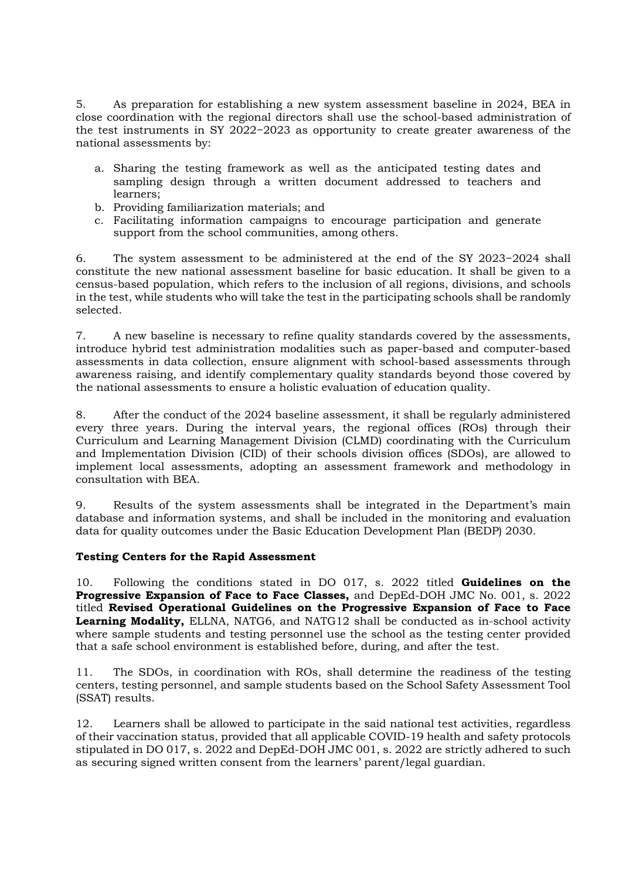5. As preparation for establishing a new system assessment baseline in 2024, BEA in close coordination with the regional directors shall use the school-based administration of the test instruments in SY 2022−2023 as opportunity to create greater awareness of the national assessments by:

- a. Sharing the testing framework as well as the anticipated testing dates and sampling design through a written document addressed to teachers and learners;
- b. Providing familiarization materials; and
- c. Facilitating information campaigns to encourage participation and generate support from the school communities, among others.

6. The system assessment to be administered at the end of the SY 2023−2024 shall constitute the new national assessment baseline for basic education. It shall be given to a census-based population, which refers to the inclusion of all regions, divisions, and schools in the test, while students who will take the test in the participating schools shall be randomly selected.

7. A new baseline is necessary to refine quality standards covered by the assessments, introduce hybrid test administration modalities such as paper-based and computer-based assessments in data collection, ensure alignment with school-based assessments through awareness raising, and identify complementary quality standards beyond those covered by the national assessments to ensure a holistic evaluation of education quality.

8. After the conduct of the 2024 baseline assessment, it shall be regularly administered every three years. During the interval years, the regional offices (ROs) through their Curriculum and Learning Management Division (CLMD) coordinating with the Curriculum and Implementation Division (CID) of their schools division offices (SDOs), are allowed to implement local assessments, adopting an assessment framework and methodology in consultation with BEA.

9. Results of the system assessments shall be integrated in the Department's main database and information systems, and shall be included in the monitoring and evaluation data for quality outcomes under the Basic Education Development Plan (BEDP) 2030.

### **Testing Centers for the Rapid Assessment**

10. Following the conditions stated in DO 017, s. 2022 titled **Guidelines on the Progressive Expansion of Face to Face Classes,** and DepEd-DOH JMC No. 001, s. 2022 titled **Revised Operational Guidelines on the Progressive Expansion of Face to Face Learning Modality,** ELLNA, NATG6, and NATG12 shall be conducted as in-school activity where sample students and testing personnel use the school as the testing center provided that a safe school environment is established before, during, and after the test.

11. The SDOs, in coordination with ROs, shall determine the readiness of the testing centers, testing personnel, and sample students based on the School Safety Assessment Tool (SSAT) results.

12. Learners shall be allowed to participate in the said national test activities, regardless of their vaccination status, provided that all applicable COVID-19 health and safety protocols stipulated in DO 017, s. 2022 and DepEd-DOH JMC 001, s. 2022 are strictly adhered to such as securing signed written consent from the learners' parent/legal guardian.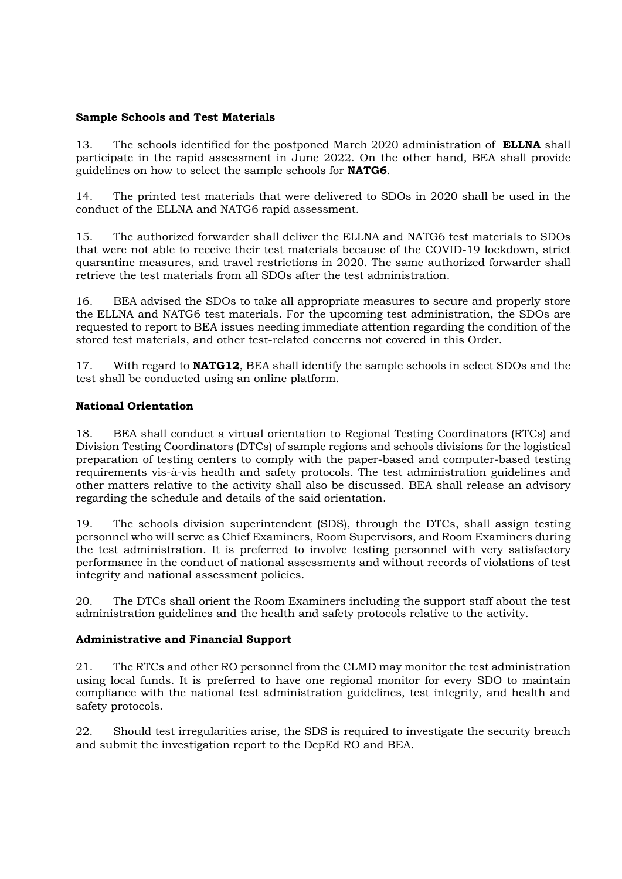## **Sample Schools and Test Materials**

13. The schools identified for the postponed March 2020 administration of **ELLNA** shall participate in the rapid assessment in June 2022. On the other hand, BEA shall provide guidelines on how to select the sample schools for **NATG6**.

14. The printed test materials that were delivered to SDOs in 2020 shall be used in the conduct of the ELLNA and NATG6 rapid assessment.

15. The authorized forwarder shall deliver the ELLNA and NATG6 test materials to SDOs that were not able to receive their test materials because of the COVID-19 lockdown, strict quarantine measures, and travel restrictions in 2020. The same authorized forwarder shall retrieve the test materials from all SDOs after the test administration.

16. BEA advised the SDOs to take all appropriate measures to secure and properly store the ELLNA and NATG6 test materials. For the upcoming test administration, the SDOs are requested to report to BEA issues needing immediate attention regarding the condition of the stored test materials, and other test-related concerns not covered in this Order.

17. With regard to **NATG12**, BEA shall identify the sample schools in select SDOs and the test shall be conducted using an online platform.

## **National Orientation**

18. BEA shall conduct a virtual orientation to Regional Testing Coordinators (RTCs) and Division Testing Coordinators (DTCs) of sample regions and schools divisions for the logistical preparation of testing centers to comply with the paper-based and computer-based testing requirements vis-à-vis health and safety protocols. The test administration guidelines and other matters relative to the activity shall also be discussed. BEA shall release an advisory regarding the schedule and details of the said orientation.

19. The schools division superintendent (SDS), through the DTCs, shall assign testing personnel who will serve as Chief Examiners, Room Supervisors, and Room Examiners during the test administration. It is preferred to involve testing personnel with very satisfactory performance in the conduct of national assessments and without records of violations of test integrity and national assessment policies.

20. The DTCs shall orient the Room Examiners including the support staff about the test administration guidelines and the health and safety protocols relative to the activity.

# **Administrative and Financial Support**

21. The RTCs and other RO personnel from the CLMD may monitor the test administration using local funds. It is preferred to have one regional monitor for every SDO to maintain compliance with the national test administration guidelines, test integrity, and health and safety protocols.

22. Should test irregularities arise, the SDS is required to investigate the security breach and submit the investigation report to the DepEd RO and BEA.